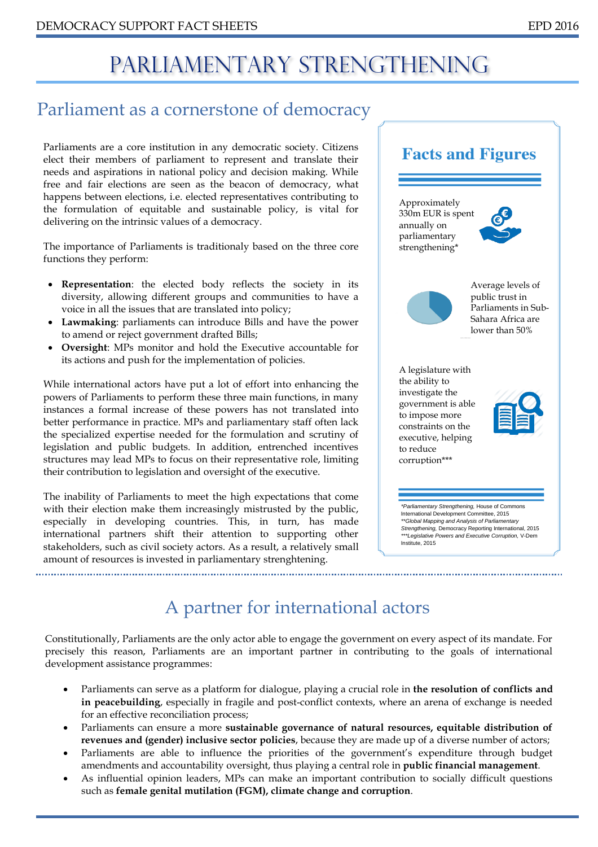# PARLIAMENTARY STRENGTHENING

# Parliament as a cornerstone of democracy

Parliaments are a core institution in any democratic society. Citizens elect their members of parliament to represent and translate their needs and aspirations in national policy and decision making. While free and fair elections are seen as the beacon of democracy, what happens between elections, i.e. elected representatives contributing to the formulation of equitable and sustainable policy, is vital for delivering on the intrinsic values of a democracy.

The importance of Parliaments is traditionaly based on the three core functions they perform:

- **Representation**: the elected body reflects the society in its diversity, allowing different groups and communities to have a voice in all the issues that are translated into policy;
- **Lawmaking**: parliaments can introduce Bills and have the power to amend or reject government drafted Bills;
- **Oversight**: MPs monitor and hold the Executive accountable for its actions and push for the implementation of policies.

While international actors have put a lot of effort into enhancing the powers of Parliaments to perform these three main functions, in many instances a formal increase of these powers has not translated into better performance in practice. MPs and parliamentary staff often lack the specialized expertise needed for the formulation and scrutiny of legislation and public budgets. In addition, entrenched incentives structures may lead MPs to focus on their representative role, limiting their contribution to legislation and oversight of the executive.

The inability of Parliaments to meet the high expectations that come with their election make them increasingly mistrusted by the public, especially in developing countries. This, in turn, has made international partners shift their attention to supporting other stakeholders, such as civil society actors. As a result, a relatively small amount of resources is invested in parliamentary strenghtening.

**Facts and Figures** Approximately 330m EUR is spent annually on parliamentary strengthening\* Average levels of public trust in Parliaments in Sub-Sahara Africa are lower than 50% A legislature with the ability to investigate the government is able to impose more constraints on the executive, helping to reduce corruption\*\*\**\*Parliamentary Strengthening,* House of Commons International Development Committee, 2015 *\*\*Global Mapping and Analysis of Parliamentary Strengthening,* Democracy Reporting International, 2015

*\*\*\*Legislative Powers and Executive Corruption,* V-Dem

Institute, 2015

A partner for international actors

Constitutionally, Parliaments are the only actor able to engage the government on every aspect of its mandate. For precisely this reason, Parliaments are an important partner in contributing to the goals of international development assistance programmes:

- Parliaments can serve as a platform for dialogue, playing a crucial role in **the resolution of conflicts and in peacebuilding**, especially in fragile and post-conflict contexts, where an arena of exchange is needed for an effective reconciliation process;
- Parliaments can ensure a more **sustainable governance of natural resources, equitable distribution of revenues and (gender) inclusive sector policies**, because they are made up of a diverse number of actors;
- Parliaments are able to influence the priorities of the government's expenditure through budget amendments and accountability oversight, thus playing a central role in **public financial management**.
- As influential opinion leaders, MPs can make an important contribution to socially difficult questions such as **female genital mutilation (FGM), climate change and corruption**.